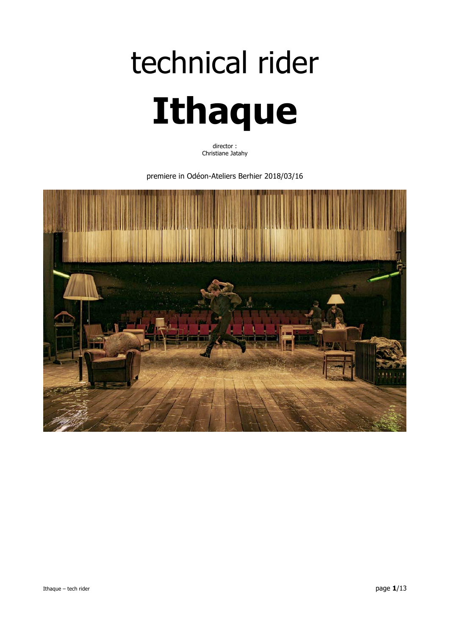# technical rider **Ithaque**

director : Christiane Jatahy

premiere in Odéon-Ateliers Berhier 2018/03/16

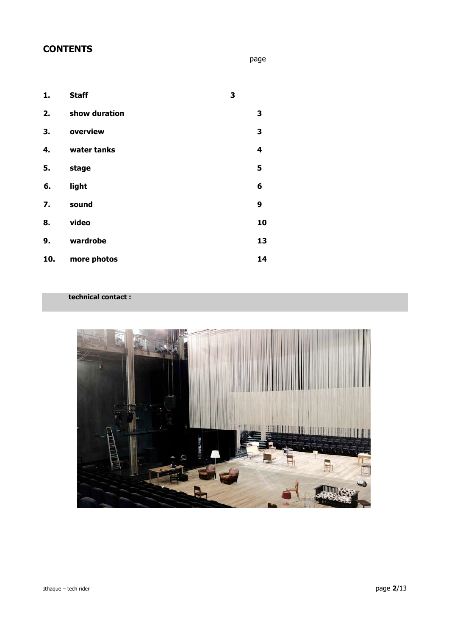# **CONTENTS**

page

| 1.  | <b>Staff</b>  | 3 |    |
|-----|---------------|---|----|
| 2.  | show duration |   | 3  |
| 3.  | overview      |   | 3  |
| 4.  | water tanks   |   | 4  |
| 5.  | stage         |   | 5  |
| 6.  | light         |   | 6  |
| 7.  | sound         |   | 9  |
| 8.  | video         |   | 10 |
| 9.  | wardrobe      |   | 13 |
| 10. | more photos   |   | 14 |

## **technical contact :**

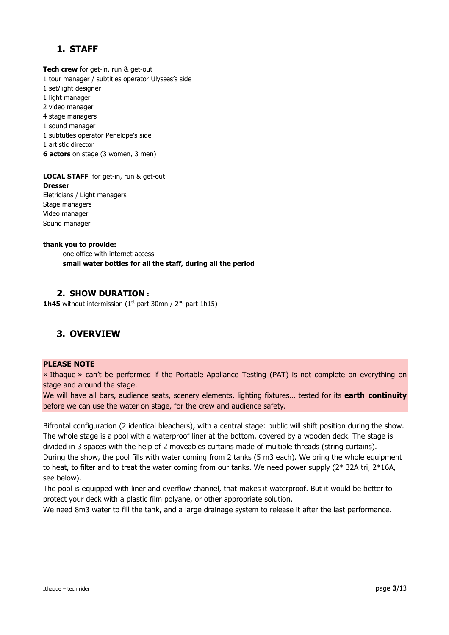# **1. STAFF**

**Tech crew** for get-in, run & get-out 1 tour manager / subtitles operator Ulysses's side 1 set/light designer 1 light manager 2 video manager 4 stage managers 1 sound manager 1 subtutles operator Penelope's side 1 artistic director **6 actors** on stage (3 women, 3 men)

**LOCAL STAFF** for get-in, run & get-out **Dresser**  Eletricians / Light managers Stage managers Video manager Sound manager

#### **thank you to provide:**

one office with internet access **small water bottles for all the staff, during all the period**

## **2. SHOW DURATION :**

**1h45** without intermission  $(1<sup>st</sup>$  part 30mn /  $2<sup>nd</sup>$  part 1h15)

## **3. OVERVIEW**

## **PLEASE NOTE**

« Ithaque » can't be performed if the Portable Appliance Testing (PAT) is not complete on everything on stage and around the stage.

We will have all bars, audience seats, scenery elements, lighting fixtures… tested for its **earth continuity** before we can use the water on stage, for the crew and audience safety.

Bifrontal configuration (2 identical bleachers), with a central stage: public will shift position during the show. The whole stage is a pool with a waterproof liner at the bottom, covered by a wooden deck. The stage is divided in 3 spaces with the help of 2 moveables curtains made of multiple threads (string curtains). During the show, the pool fills with water coming from 2 tanks (5 m3 each). We bring the whole equipment to heat, to filter and to treat the water coming from our tanks. We need power supply  $(2^* 32A \text{ tri}, 2^*16A,$ see below).

The pool is equipped with liner and overflow channel, that makes it waterproof. But it would be better to protect your deck with a plastic film polyane, or other appropriate solution.

We need 8m3 water to fill the tank, and a large drainage system to release it after the last performance.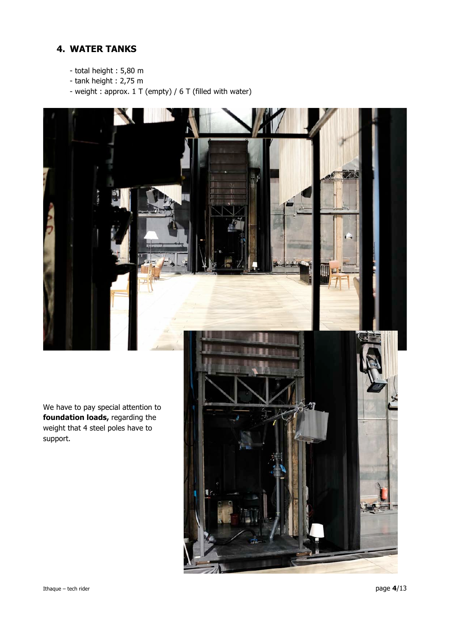# **4. WATER TANKS**

- total height : 5,80 m
- tank height : 2,75 m
- weight : approx. 1 T (empty) / 6 T (filled with water)

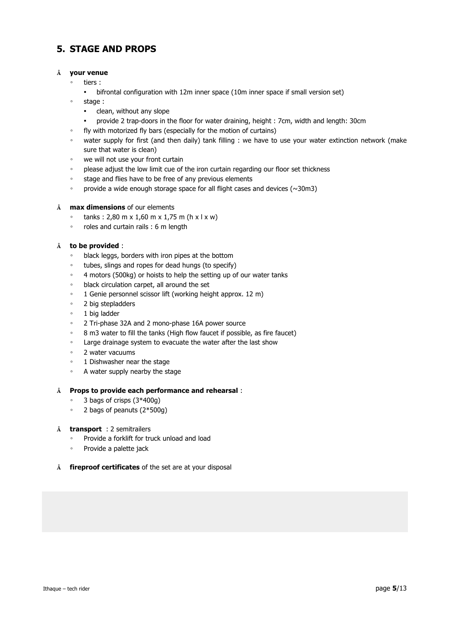# **5. STAGE AND PROPS**

## **Å your venue**

- tiers :
- bifrontal configuration with 12m inner space (10m inner space if small version set)
- stage :
	- clean, without any slope
	- provide 2 trap-doors in the floor for water draining, height : 7cm, width and length: 30cm
- fly with motorized fly bars (especially for the motion of curtains)
- water supply for first (and then daily) tank filling : we have to use your water extinction network (make sure that water is clean)
- we will not use your front curtain
- please adjust the low limit cue of the iron curtain regarding our floor set thickness
- stage and flies have to be free of any previous elements
- provide a wide enough storage space for all flight cases and devices (~30m3)
- **Å max dimensions** of our elements
	- tanks : 2,80 m x 1,60 m x 1,75 m (h x l x w)
	- roles and curtain rails : 6 m length

## **Å to be provided** :

- black leggs, borders with iron pipes at the bottom
- tubes, slings and ropes for dead hungs (to specify)
- 4 motors (500kg) or hoists to help the setting up of our water tanks
- black circulation carpet, all around the set
- 1 Genie personnel scissor lift (working height approx. 12 m)
- 2 big stepladders
- 1 big ladder
- 2 Tri-phase 32A and 2 mono-phase 16A power source
- 8 m3 water to fill the tanks (High flow faucet if possible, as fire faucet)
- Large drainage system to evacuate the water after the last show
- 2 water vacuums
- 1 Dishwasher near the stage
- A water supply nearby the stage

## **Å Props to provide each performance and rehearsal** :

- 3 bags of crisps (3\*400g)
- 2 bags of peanuts (2\*500g)
- **Å transport** : 2 semitrailers
	- Provide a forklift for truck unload and load
	- Provide a palette jack
- **Å fireproof certificates** of the set are at your disposal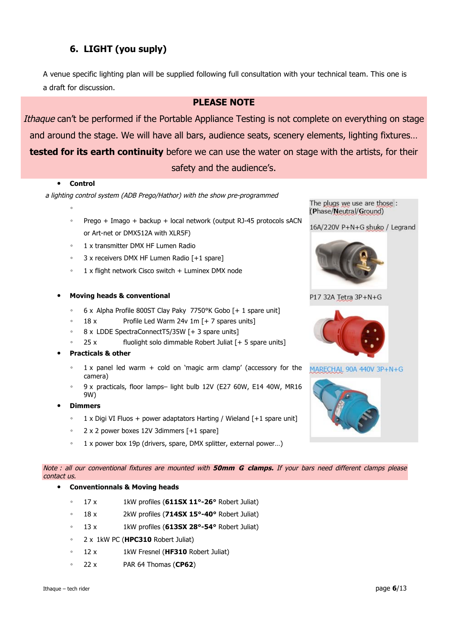# **6. LIGHT (you suply)**

A venue specific lighting plan will be supplied following full consultation with your technical team. This one is a draft for discussion.

## **PLEASE NOTE**

Ithaque can't be performed if the Portable Appliance Testing is not complete on everything on stage and around the stage. We will have all bars, audience seats, scenery elements, lighting fixtures… **tested for its earth continuity** before we can use the water on stage with the artists, for their safety and the audience's.

#### • **Control**

a lighting control system (ADB Prego/Hathor) with the show pre-programmed

- ◦
- Prego + Imago + backup + local network (output RJ-45 protocols sACN or Art-net or DMX512A with XLR5F)
- 1 x transmitter DMX HF Lumen Radio
- 3 x receivers DMX HF Lumen Radio [+1 spare]
- 1 x flight network Cisco switch + Luminex DMX node
- **Moving heads & conventional**
	- 6 x Alpha Profile 800ST Clay Paky 7750°K Gobo [+ 1 spare unit]
	- 18 x Profile Led Warm 24v 1m [+ 7 spares units]
	- 8 x LDDE SpectraConnectT5/35W [+ 3 spare units]
	- $25 x$  fluolight solo dimmable Robert Juliat  $[+ 5$  spare units]
- **Practicals & other**
	- $1 \times$  panel led warm + cold on 'magic arm clamp' (accessory for the camera)
	- 9 x practicals, floor lamps– light bulb 12V (E27 60W, E14 40W, MR16 9W)
- **Dimmers**
	- 1 x Digi VI Fluos + power adaptators Harting / Wieland [+1 spare unit]
	- 2 x 2 power boxes 12V 3dimmers [+1 spare]
	- 1 x power box 19p (drivers, spare, DMX splitter, external power...)

Note : all our conventional fixtures are mounted with **50mm G clamps.** If your bars need different clamps please contact us.

## • **Conventionnals & Moving heads**

- 17 x 1kW profiles (**611SX 11°-26°** Robert Juliat)
- 18 x 2kW profiles (**714SX 15°-40°** Robert Juliat)
- 13 x 1kW profiles (**613SX 28°-54°** Robert Juliat)
- 2 x 1kW PC (**HPC310** Robert Juliat)
- 12 x 1kW Fresnel (**HF310** Robert Juliat)
- 22 x PAR 64 Thomas (**CP62**)



The plugs we use are those: (Phase/Neutral/Ground)

## P17 32A Tetra 3P+N+G



MARECHAL 90A 440V 3P+N+G

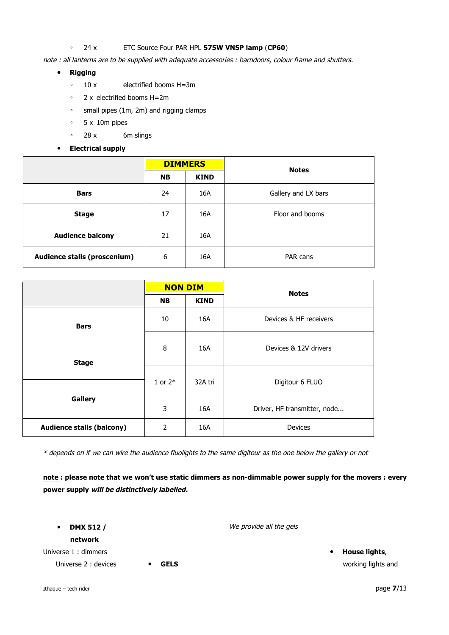## ◦ 24 x ETC Source Four PAR HPL **575W VNSP lamp** (**CP60**)

note : all lanterns are to be supplied with adequate accessories : barndoors, colour frame and shutters.

- **Rigging**
	- 10 x electrified booms H=3m
	- 2 x electrified booms H=2m
	- small pipes (1m, 2m) and rigging clamps
	- 5 x 10m pipes
	- 28 x 6m slings
- **Electrical supply**

|                                     | <b>DIMMERS</b> |             | <b>Notes</b>        |
|-------------------------------------|----------------|-------------|---------------------|
|                                     | <b>NB</b>      | <b>KIND</b> |                     |
| <b>Bars</b>                         | 24             | 16A         | Gallery and LX bars |
| <b>Stage</b>                        | 17             | 16A         | Floor and booms     |
| <b>Audience balcony</b>             | 21             | 16A         |                     |
| <b>Audience stalls (proscenium)</b> | 6              | 16A         | PAR cans            |

|                                  | <b>NON DIM</b> |             | <b>Notes</b>                 |  |
|----------------------------------|----------------|-------------|------------------------------|--|
|                                  | <b>NB</b>      | <b>KIND</b> |                              |  |
| <b>Bars</b>                      | 10             | 16A         | Devices & HF receivers       |  |
|                                  | 8              | 16A         | Devices & 12V drivers        |  |
| <b>Stage</b>                     |                |             |                              |  |
|                                  | 1 or $2*$      | 32A tri     | Digitour 6 FLUO              |  |
|                                  |                |             |                              |  |
| <b>Gallery</b>                   | 3              | 16A         | Driver, HF transmitter, node |  |
| <b>Audience stalls (balcony)</b> | 2              | 16A         | <b>Devices</b>               |  |

\* depends on if we can wire the audience fluolights to the same digitour as the one below the gallery or not

**note : please note that we won't use static dimmers as non-dimmable power supply for the movers : every power supply will be distinctively labelled.**

• **DMX 512 /** 

**network**

Universe 1 : dimmers

Universe 2 : devices **• GELS** 

We provide all the gels

• **House lights**, working lights and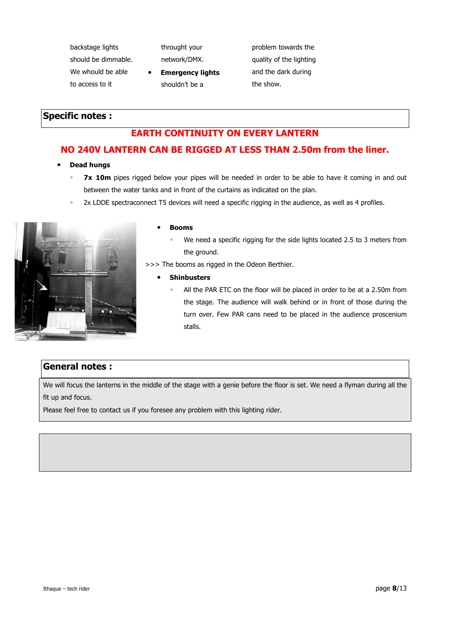backstage lights should be dimmable. We whould be able to access to it

throught your network/DMX.

• **Emergency lights** shouldn't be a

problem towards the quality of the lighting and the dark during the show.

## **Specific notes :**

# **EARTH CONTINUITY ON EVERY LANTERN**

## **NO 240V LANTERN CAN BE RIGGED AT LESS THAN 2.50m from the liner.**

- **Dead hungs**
	- **7x 10m** pipes rigged below your pipes will be needed in order to be able to have it coming in and out between the water tanks and in front of the curtains as indicated on the plan.
	- 2x LDDE spectraconnect T5 devices will need a specific rigging in the audience, as well as 4 profiles.



## • **Booms**

- We need a specific rigging for the side lights located 2.5 to 3 meters from the ground.
- >>> The booms as rigged in the Odeon Berthier.
	- **Shinbusters**
		- All the PAR ETC on the floor will be placed in order to be at a 2.50m from the stage. The audience will walk behind or in front of those during the turn over. Few PAR cans need to be placed in the audience proscenium stalls.

## **General notes :**

We will focus the lanterns in the middle of the stage with a genie before the floor is set. We need a flyman during all the fit up and focus.

Please feel free to contact us if you foresee any problem with this lighting rider.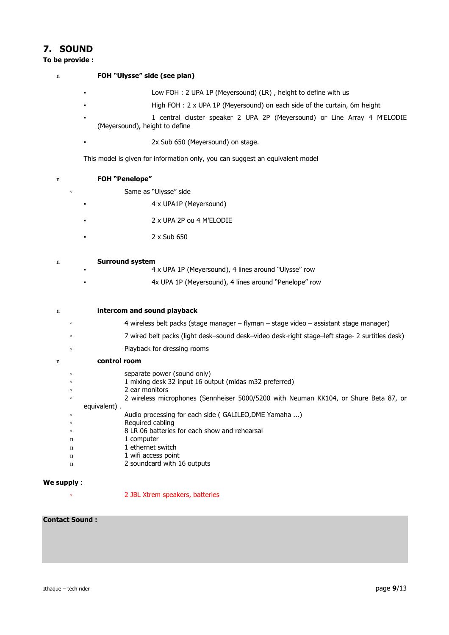## **7. SOUND**

#### **To be provide :**

|  | FOH "Ulysse" side (see plan) |
|--|------------------------------|
|--|------------------------------|

<sup>n</sup> **FOH "Penelope"**

- Low FOH : 2 UPA 1P (Meyersound) (LR) , height to define with us
- High FOH : 2 x UPA 1P (Meyersound) on each side of the curtain, 6m height
- 1 central cluster speaker 2 UPA 2P (Meyersound) or Line Array 4 M'ELODIE (Meyersound), height to define
- 2x Sub 650 (Meyersound) on stage.

This model is given for information only, you can suggest an equivalent model

| $\circ$ | Same as "Ulysse" side                                                                                |
|---------|------------------------------------------------------------------------------------------------------|
|         | 4 x UPA1P (Meyersound)                                                                               |
|         | 2 x UPA 2P ou 4 M'ELODIE                                                                             |
|         | 2 x Sub 650                                                                                          |
| n       | <b>Surround system</b>                                                                               |
|         | 4 x UPA 1P (Meyersound), 4 lines around "Ulysse" row                                                 |
|         | 4x UPA 1P (Meyersound), 4 lines around "Penelope" row                                                |
| n       | intercom and sound playback                                                                          |
|         |                                                                                                      |
| $\circ$ | 4 wireless belt packs (stage manager – flyman – stage video – assistant stage manager)               |
| $\circ$ | 7 wired belt packs (light desk–sound desk–video desk-right stage–left stage- 2 surtitles desk)       |
| $\circ$ | Playback for dressing rooms                                                                          |
| n       | control room                                                                                         |
| $\circ$ | separate power (sound only)                                                                          |
| $\circ$ | 1 mixing desk 32 input 16 output (midas m32 preferred)                                               |
| $\circ$ | 2 ear monitors                                                                                       |
| $\circ$ | 2 wireless microphones (Sennheiser 5000/5200 with Neuman KK104, or Shure Beta 87, or<br>equivalent). |
| $\circ$ | Audio processing for each side (GALILEO, DME Yamaha )                                                |
| $\circ$ | Required cabling                                                                                     |
| $\circ$ | 8 LR 06 batteries for each show and rehearsal                                                        |
| n       | 1 computer                                                                                           |
| n       | 1 ethernet switch                                                                                    |
| n       | 1 wifi access point                                                                                  |
| n       | 2 soundcard with 16 outputs                                                                          |

## **We supply** :

◦ 2 JBL Xtrem speakers, batteries

## **Contact Sound :**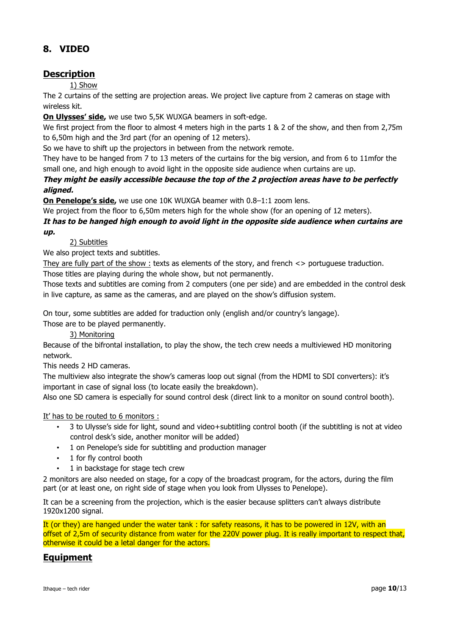# **8. VIDEO**

## **Description**

1) Show

The 2 curtains of the setting are projection areas. We project live capture from 2 cameras on stage with wireless kit.

**On Ulysses' side,** we use two 5,5K WUXGA beamers in soft-edge.

We first project from the floor to almost 4 meters high in the parts 1 & 2 of the show, and then from 2,75m to 6,50m high and the 3rd part (for an opening of 12 meters).

So we have to shift up the projectors in between from the network remote.

They have to be hanged from 7 to 13 meters of the curtains for the big version, and from 6 to 11mfor the small one, and high enough to avoid light in the opposite side audience when curtains are up.

**They might be easily accessible because the top of the 2 projection areas have to be perfectly aligned.**

**On Penelope's side,** we use one 10K WUXGA beamer with 0.8–1:1 zoom lens.

We project from the floor to 6,50m meters high for the whole show (for an opening of 12 meters).

## **It has to be hanged high enough to avoid light in the opposite side audience when curtains are up.**

## 2) Subtitles

We also project texts and subtitles.

They are fully part of the show : texts as elements of the story, and french <> portuguese traduction. Those titles are playing during the whole show, but not permanently.

Those texts and subtitles are coming from 2 computers (one per side) and are embedded in the control desk in live capture, as same as the cameras, and are played on the show's diffusion system.

On tour, some subtitles are added for traduction only (english and/or country's langage).

Those are to be played permanently.

## 3) Monitoring

Because of the bifrontal installation, to play the show, the tech crew needs a multiviewed HD monitoring network.

This needs 2 HD cameras.

The multiview also integrate the show's cameras loop out signal (from the HDMI to SDI converters): it's important in case of signal loss (to locate easily the breakdown).

Also one SD camera is especially for sound control desk (direct link to a monitor on sound control booth).

It' has to be routed to 6 monitors :

- 3 to Ulysse's side for light, sound and video+subtitling control booth (if the subtitling is not at video control desk's side, another monitor will be added)
- 1 on Penelope's side for subtitling and production manager
- 1 for fly control booth
- 1 in backstage for stage tech crew

2 monitors are also needed on stage, for a copy of the broadcast program, for the actors, during the film part (or at least one, on right side of stage when you look from Ulysses to Penelope).

It can be a screening from the projection, which is the easier because splitters can't always distribute 1920x1200 signal.

It (or they) are hanged under the water tank : for safety reasons, it has to be powered in 12V, with an offset of 2,5m of security distance from water for the 220V power plug. It is really important to respect that, otherwise it could be a letal danger for the actors.

## **Equipment**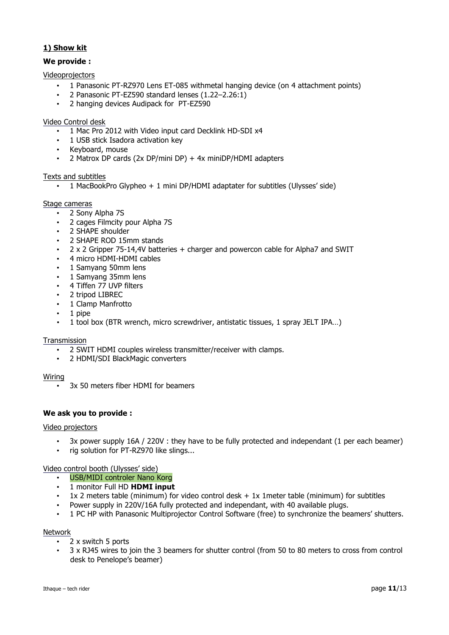## **1) Show kit**

## **We provide :**

## Videoprojectors

- 1 Panasonic PT-RZ970 Lens ET-085 withmetal hanging device (on 4 attachment points)
- 2 Panasonic PT-EZ590 standard lenses (1.22–2.26:1)
- 2 hanging devices Audipack for PT-EZ590

## Video Control desk

- 1 Mac Pro 2012 with Video input card Decklink HD-SDI x4
- 1 USB stick Isadora activation key
- Keyboard, mouse
- 2 Matrox DP cards (2x DP/mini DP) + 4x miniDP/HDMI adapters

## Texts and subtitles

• 1 MacBookPro Glypheo + 1 mini DP/HDMI adaptater for subtitles (Ulysses' side)

## Stage cameras

- 2 Sony Alpha 7S
- 2 cages Filmcity pour Alpha 7S
- 2 SHAPE shoulder
- 2 SHAPE ROD 15mm stands
- 2 x 2 Gripper 75-14,4V batteries + charger and powercon cable for Alpha7 and SWIT
- 4 micro HDMI-HDMI cables
- 1 Samyang 50mm lens
- 1 Samyang 35mm lens
- 4 Tiffen 77 UVP filters
- 2 tripod LIBREC
- 1 Clamp Manfrotto
- 1 pipe
- 1 tool box (BTR wrench, micro screwdriver, antistatic tissues, 1 spray JELT IPA…)

## **Transmission**

- 2 SWIT HDMI couples wireless transmitter/receiver with clamps.
- 2 HDMI/SDI BlackMagic converters

## Wiring

• 3x 50 meters fiber HDMI for beamers

## **We ask you to provide :**

## Video projectors

- 3x power supply 16A / 220V : they have to be fully protected and independant (1 per each beamer)
- rig solution for PT-RZ970 like slings...

Video control booth (Ulysses' side)

- USB/MIDI controler Nano Korg
- 1 monitor Full HD **HDMI input**
- $1x$  2 meters table (minimum) for video control desk + 1x 1 meter table (minimum) for subtitles
- Power supply in 220V/16A fully protected and independant, with 40 available plugs.
- 1 PC HP with Panasonic Multiprojector Control Software (free) to synchronize the beamers' shutters.

## Network

- 2 x switch 5 ports
- 3 x RJ45 wires to join the 3 beamers for shutter control (from 50 to 80 meters to cross from control desk to Penelope's beamer)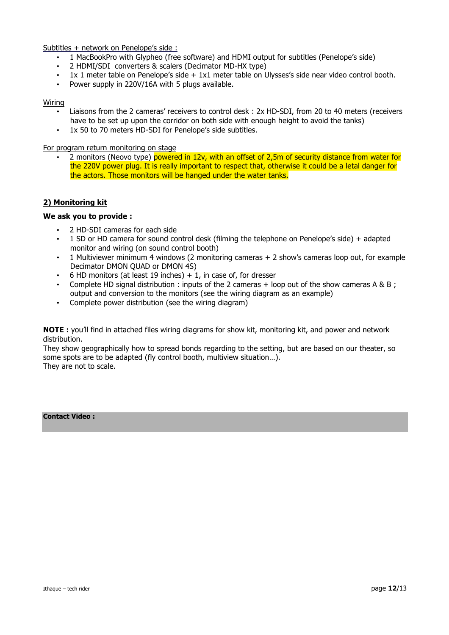Subtitles + network on Penelope's side :

- 1 MacBookPro with Glypheo (free software) and HDMI output for subtitles (Penelope's side)
- 2 HDMI/SDI converters & scalers (Decimator MD-HX type)
- 1x 1 meter table on Penelope's side + 1x1 meter table on Ulysses's side near video control booth.
- Power supply in 220V/16A with 5 plugs available.

## Wiring

- Liaisons from the 2 cameras' receivers to control desk : 2x HD-SDI, from 20 to 40 meters (receivers have to be set up upon the corridor on both side with enough height to avoid the tanks)
- 1x 50 to 70 meters HD-SDI for Penelope's side subtitles.

## For program return monitoring on stage

2 monitors (Neovo type) powered in 12v, with an offset of 2,5m of security distance from water for the 220V power plug. It is really important to respect that, otherwise it could be a letal danger for the actors. Those monitors will be hanged under the water tanks.

## **2) Monitoring kit**

## **We ask you to provide :**

- 2 HD-SDI cameras for each side
- 1 SD or HD camera for sound control desk (filming the telephone on Penelope's side) + adapted monitor and wiring (on sound control booth)
- 1 Multiviewer minimum 4 windows (2 monitoring cameras + 2 show's cameras loop out, for example Decimator DMON QUAD or DMON 4S)
- 6 HD monitors (at least 19 inches)  $+1$ , in case of, for dresser
- Complete HD signal distribution : inputs of the 2 cameras + loop out of the show cameras A & B ; output and conversion to the monitors (see the wiring diagram as an example)
- Complete power distribution (see the wiring diagram)

**NOTE :** you'll find in attached files wiring diagrams for show kit, monitoring kit, and power and network distribution.

They show geographically how to spread bonds regarding to the setting, but are based on our theater, so some spots are to be adapted (fly control booth, multiview situation…). They are not to scale.

## **Contact Video :**